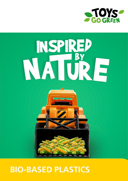

# NSPIRED<br>NATURE



# **BIO-BASED PLASTICS**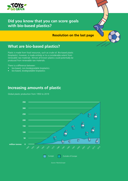

### **Did you know that you can score goals with bio-based plastics?**

### **Resolution on the last page**

### **What are bio-based plastics?**

Plastic is made from fossil resources, such as crude oil. Bio-based plastic (bioplastic), however, is made entirely or to a considerable extent from renewable raw materials. Almost all known plastics could potentially be produced from renewable raw materials.

There is a difference between:

- bio-based, non-biodegradable bioplastics
- bio-based, biodegradable bioplastics

### **Increasing amounts of plastic**

Global plastic production from 1950 to 2019



*Source: PlasticsEurope*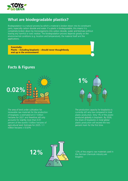

### **What are biodegradable plastics?**

Biodegradation is a natural process by which a material is broken down into its constituent parts, especially carbon dioxide and water. If a plastic is biodegradable, this means it is completely broken down by microorganisms into carbon dioxide, water and biomass without leaving any harmful or toxic residue. The biodegradation process depends greatly on the environmental conditions (e.g. location and temperature), the material itself and the applications.

**Essentially: Plastic – including bioplastic – should never thoughtlessly end up in the environment!**

### **Facts & Figures**



The area of land under cultivation for renewable raw materials for the production of bioplastic is estimated at 0.7 million hectares for 2021 and therefore still only accounts for slightly more than 0.01 percent of the world's 5 billion hectares of agricultural land. Estimate for 2025: 1.1 million hectares  $= 0.02\%$ 



The production capacity for bioplastics is currently still very low compared to total plastic production. Only 1% of the plastic produced globally is bioplastic. By 2026, the share of bioplastics in total global plastic production will exceed the two percent mark for the first time.



the German chemicals industry are biogenic.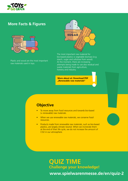

### **More Facts & Figures**



Plastic and wood are the most important raw materials used in toys.



The most important raw material for bio-based plastics is vegetable biomass (e.g. starch, sugar and cellulose from wood). At the moment, there are increasing attempts being made to use also residual and waste materials from agriculture, forestry and industry.

**More about at: Download PDF "Renewable raw materials"**

### **Objective**

- To move away from fossil resources and towards bio-based (= renewable) raw materials.
- When we use renewable raw materials, we conserve fossil resources.
- Products made from renewable raw materials, such as bio-based plastics, are largely climate neutral. When we incinerate them at the end of their life cycle, we do not increase the amount of CO2 in our atmosphere.

## **QUIZ TIME Challenge your knowledge!**

 **www.spielwarenmesse.de/en/quiz-2**